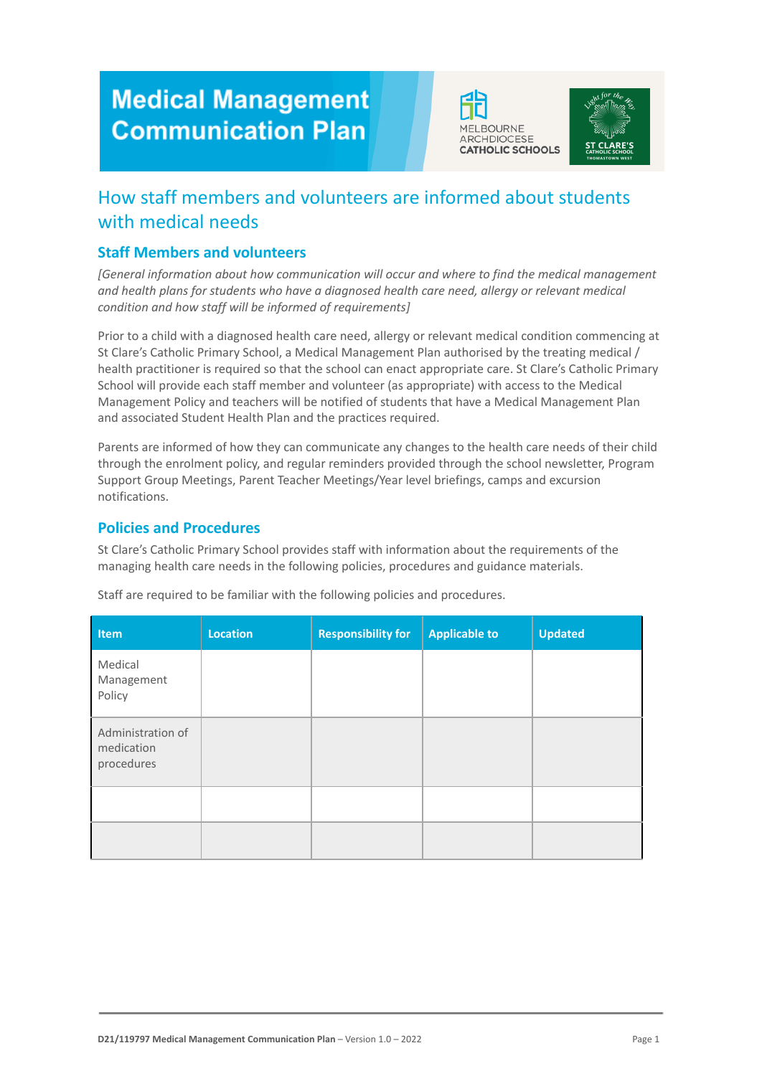# **Medical Management Communication Plan**





## How staff members and volunteers are informed about students with medical needs

#### **Staff Members and volunteers**

*[General information about how communication will occur and where to find the medical management and health plans for students who have a diagnosed health care need, allergy or relevant medical condition and how staff will be informed of requirements]*

Prior to a child with a diagnosed health care need, allergy or relevant medical condition commencing at St Clare's Catholic Primary School, a Medical Management Plan authorised by the treating medical / health practitioner is required so that the school can enact appropriate care. St Clare's Catholic Primary School will provide each staff member and volunteer (as appropriate) with access to the Medical Management Policy and teachers will be notified of students that have a Medical Management Plan and associated Student Health Plan and the practices required.

Parents are informed of how they can communicate any changes to the health care needs of their child through the enrolment policy, and regular reminders provided through the school newsletter, Program Support Group Meetings, Parent Teacher Meetings/Year level briefings, camps and excursion notifications.

#### **Policies and Procedures**

St Clare's Catholic Primary School provides staff with information about the requirements of the managing health care needs in the following policies, procedures and guidance materials.

| Item                                          | <b>Location</b> | <b>Responsibility for</b> | <b>Applicable to</b> | <b>Updated</b> |
|-----------------------------------------------|-----------------|---------------------------|----------------------|----------------|
| Medical<br>Management<br>Policy               |                 |                           |                      |                |
| Administration of<br>medication<br>procedures |                 |                           |                      |                |
|                                               |                 |                           |                      |                |
|                                               |                 |                           |                      |                |

Staff are required to be familiar with the following policies and procedures.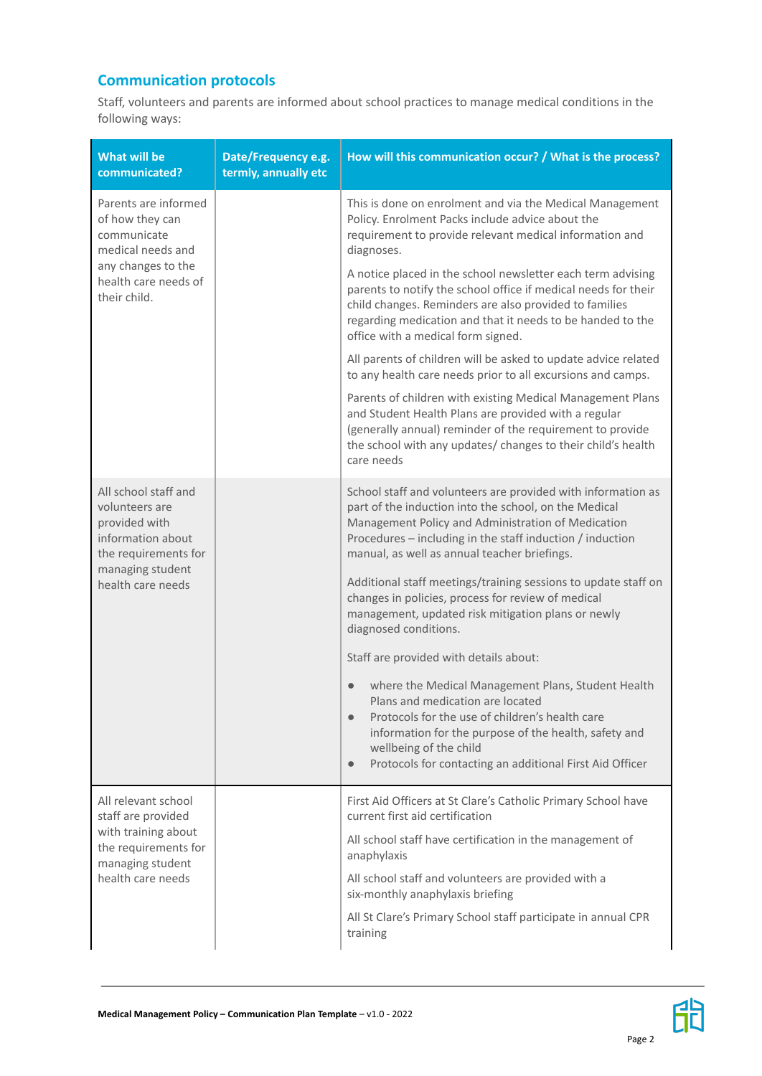### **Communication protocols**

Staff, volunteers and parents are informed about school practices to manage medical conditions in the following ways:

| What will be<br>communicated?                                                                                                                 | Date/Frequency e.g.<br>termly, annually etc | How will this communication occur? / What is the process?                                                                                                                                                                                                                                                          |
|-----------------------------------------------------------------------------------------------------------------------------------------------|---------------------------------------------|--------------------------------------------------------------------------------------------------------------------------------------------------------------------------------------------------------------------------------------------------------------------------------------------------------------------|
| Parents are informed<br>of how they can<br>communicate<br>medical needs and<br>any changes to the<br>health care needs of<br>their child.     |                                             | This is done on enrolment and via the Medical Management<br>Policy. Enrolment Packs include advice about the<br>requirement to provide relevant medical information and<br>diagnoses.                                                                                                                              |
|                                                                                                                                               |                                             | A notice placed in the school newsletter each term advising<br>parents to notify the school office if medical needs for their<br>child changes. Reminders are also provided to families<br>regarding medication and that it needs to be handed to the<br>office with a medical form signed.                        |
|                                                                                                                                               |                                             | All parents of children will be asked to update advice related<br>to any health care needs prior to all excursions and camps.                                                                                                                                                                                      |
|                                                                                                                                               |                                             | Parents of children with existing Medical Management Plans<br>and Student Health Plans are provided with a regular<br>(generally annual) reminder of the requirement to provide<br>the school with any updates/ changes to their child's health<br>care needs                                                      |
| All school staff and<br>volunteers are<br>provided with<br>information about<br>the requirements for<br>managing student<br>health care needs |                                             | School staff and volunteers are provided with information as<br>part of the induction into the school, on the Medical<br>Management Policy and Administration of Medication<br>Procedures - including in the staff induction / induction<br>manual, as well as annual teacher briefings.                           |
|                                                                                                                                               |                                             | Additional staff meetings/training sessions to update staff on<br>changes in policies, process for review of medical<br>management, updated risk mitigation plans or newly<br>diagnosed conditions.                                                                                                                |
|                                                                                                                                               |                                             | Staff are provided with details about:                                                                                                                                                                                                                                                                             |
|                                                                                                                                               |                                             | where the Medical Management Plans, Student Health<br>Plans and medication are located<br>Protocols for the use of children's health care<br>$\bullet$<br>information for the purpose of the health, safety and<br>wellbeing of the child<br>Protocols for contacting an additional First Aid Officer<br>$\bullet$ |
| All relevant school<br>staff are provided<br>with training about<br>the requirements for<br>managing student<br>health care needs             |                                             | First Aid Officers at St Clare's Catholic Primary School have<br>current first aid certification                                                                                                                                                                                                                   |
|                                                                                                                                               |                                             | All school staff have certification in the management of<br>anaphylaxis                                                                                                                                                                                                                                            |
|                                                                                                                                               |                                             | All school staff and volunteers are provided with a<br>six-monthly anaphylaxis briefing                                                                                                                                                                                                                            |
|                                                                                                                                               |                                             | All St Clare's Primary School staff participate in annual CPR<br>training                                                                                                                                                                                                                                          |